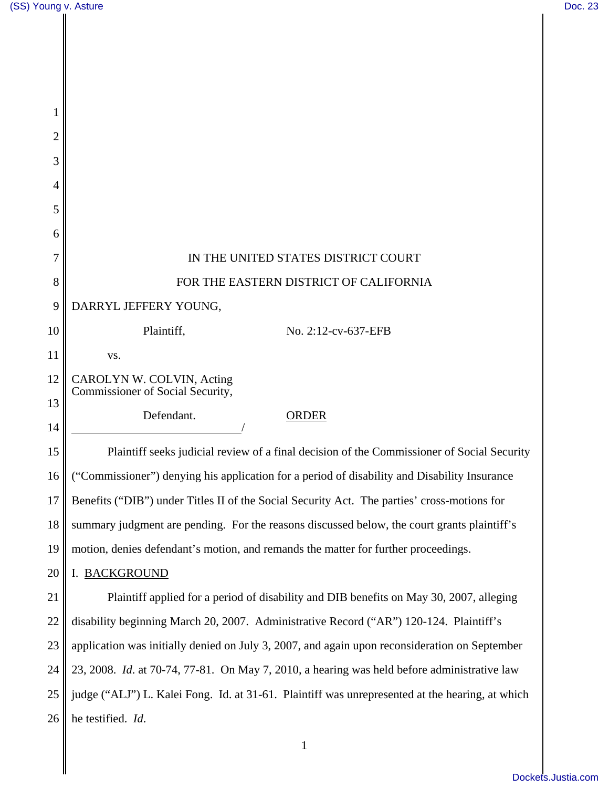I

║

| 1  |                                                                                                 |  |
|----|-------------------------------------------------------------------------------------------------|--|
| 2  |                                                                                                 |  |
| 3  |                                                                                                 |  |
| 4  |                                                                                                 |  |
| 5  |                                                                                                 |  |
| 6  |                                                                                                 |  |
| 7  | IN THE UNITED STATES DISTRICT COURT                                                             |  |
| 8  | FOR THE EASTERN DISTRICT OF CALIFORNIA                                                          |  |
| 9  | DARRYL JEFFERY YOUNG,                                                                           |  |
| 10 | Plaintiff,<br>No. 2:12-cv-637-EFB                                                               |  |
| 11 | VS.                                                                                             |  |
| 12 | CAROLYN W. COLVIN, Acting<br>Commissioner of Social Security,                                   |  |
| 13 | Defendant.<br><b>ORDER</b>                                                                      |  |
| 14 |                                                                                                 |  |
| 15 | Plaintiff seeks judicial review of a final decision of the Commissioner of Social Security      |  |
| 16 | ("Commissioner") denying his application for a period of disability and Disability Insurance    |  |
| 17 | Benefits ("DIB") under Titles II of the Social Security Act. The parties' cross-motions for     |  |
| 18 | summary judgment are pending. For the reasons discussed below, the court grants plaintiff's     |  |
| 19 | motion, denies defendant's motion, and remands the matter for further proceedings.              |  |
| 20 | I. BACKGROUND                                                                                   |  |
| 21 | Plaintiff applied for a period of disability and DIB benefits on May 30, 2007, alleging         |  |
| 22 | disability beginning March 20, 2007. Administrative Record ("AR") 120-124. Plaintiff's          |  |
| 23 | application was initially denied on July 3, 2007, and again upon reconsideration on September   |  |
| 24 | 23, 2008. Id. at 70-74, 77-81. On May 7, 2010, a hearing was held before administrative law     |  |
| 25 | judge ("ALJ") L. Kalei Fong. Id. at 31-61. Plaintiff was unrepresented at the hearing, at which |  |
| 26 | he testified. Id.                                                                               |  |
|    |                                                                                                 |  |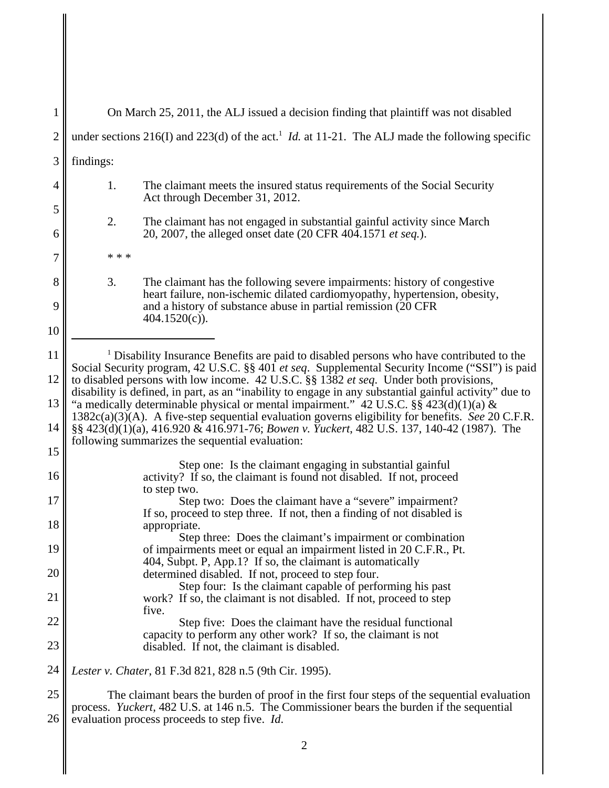1 2 3 4 5 6 7 8 9 10 11 12 13 14 15 16 17 18 19 20 21 22 23 24 25 26 On March 25, 2011, the ALJ issued a decision finding that plaintiff was not disabled under sections  $216(I)$  and  $223(d)$  of the act.<sup>1</sup> *Id.* at 11-21. The ALJ made the following specific findings: 1. The claimant meets the insured status requirements of the Social Security Act through December 31, 2012. 2. The claimant has not engaged in substantial gainful activity since March 20, 2007, the alleged onset date (20 CFR 404.1571 *et seq.*). \* \* \* 3. The claimant has the following severe impairments: history of congestive heart failure, non-ischemic dilated cardiomyopathy, hypertension, obesity, and a history of substance abuse in partial remission (20 CFR 404.1520(c)). <sup>1</sup> Disability Insurance Benefits are paid to disabled persons who have contributed to the Social Security program, 42 U.S.C. §§ 401 *et seq*. Supplemental Security Income ("SSI") is paid to disabled persons with low income. 42 U.S.C. §§ 1382 *et seq*. Under both provisions, disability is defined, in part, as an "inability to engage in any substantial gainful activity" due to "a medically determinable physical or mental impairment." 42 U.S.C.  $\S\ S$  423(d)(1)(a) & 1382c(a)(3)(A). A five-step sequential evaluation governs eligibility for benefits. *See* 20 C.F.R. §§ 423(d)(1)(a), 416.920 & 416.971-76; *Bowen v. Yuckert*, 482 U.S. 137, 140-42 (1987). The following summarizes the sequential evaluation: Step one: Is the claimant engaging in substantial gainful activity? If so, the claimant is found not disabled. If not, proceed to step two. Step two: Does the claimant have a "severe" impairment? If so, proceed to step three. If not, then a finding of not disabled is appropriate. Step three: Does the claimant's impairment or combination of impairments meet or equal an impairment listed in 20 C.F.R., Pt. 404, Subpt. P, App.1? If so, the claimant is automatically determined disabled. If not, proceed to step four. Step four: Is the claimant capable of performing his past work? If so, the claimant is not disabled. If not, proceed to step five. Step five: Does the claimant have the residual functional capacity to perform any other work? If so, the claimant is not disabled. If not, the claimant is disabled. *Lester v. Chater*, 81 F.3d 821, 828 n.5 (9th Cir. 1995). The claimant bears the burden of proof in the first four steps of the sequential evaluation process. *Yuckert,* 482 U.S. at 146 n.5. The Commissioner bears the burden if the sequential evaluation process proceeds to step five. *Id*.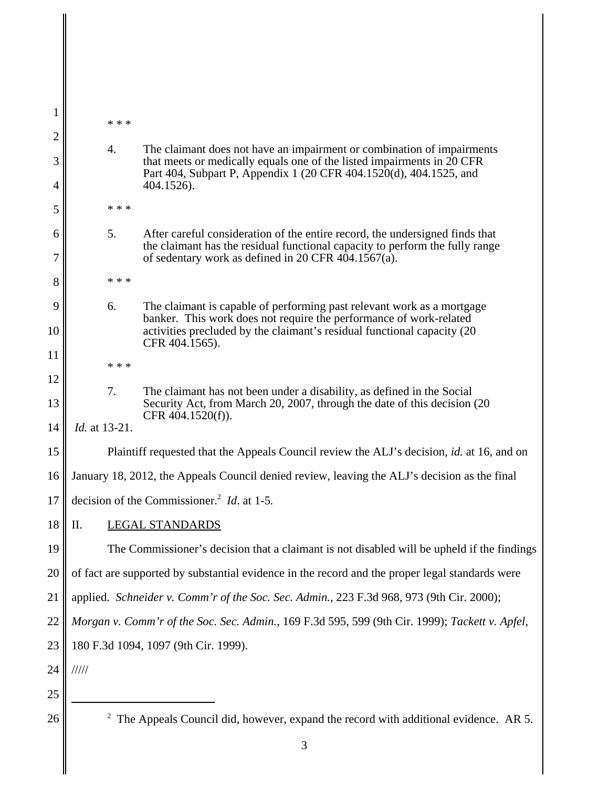| 1              |                                                                                                 |                                                                                                                                                                  |  |  |
|----------------|-------------------------------------------------------------------------------------------------|------------------------------------------------------------------------------------------------------------------------------------------------------------------|--|--|
| $\overline{2}$ | * * *                                                                                           |                                                                                                                                                                  |  |  |
| 3              | 4.                                                                                              | The claimant does not have an impairment or combination of impairments<br>that meets or medically equals one of the listed impairments in 20 CFR                 |  |  |
| 4              |                                                                                                 | Part 404, Subpart P, Appendix 1 (20 CFR 404.1520(d), 404.1525, and<br>404.1526).                                                                                 |  |  |
| 5              | * * *                                                                                           |                                                                                                                                                                  |  |  |
| 6              | 5.                                                                                              | After careful consideration of the entire record, the undersigned finds that                                                                                     |  |  |
| 7              |                                                                                                 | the claimant has the residual functional capacity to perform the fully range<br>of sedentary work as defined in 20 CFR $404.1567(a)$ .                           |  |  |
| 8              | * * *                                                                                           |                                                                                                                                                                  |  |  |
| 9              | 6.                                                                                              | The claimant is capable of performing past relevant work as a mortgage                                                                                           |  |  |
| 10             |                                                                                                 | banker. This work does not require the performance of work-related<br>activities precluded by the claimant's residual functional capacity (20)<br>CFR 404.1565). |  |  |
| 11             | * * *                                                                                           |                                                                                                                                                                  |  |  |
| 12             | 7.                                                                                              | The claimant has not been under a disability, as defined in the Social                                                                                           |  |  |
| 13             |                                                                                                 | Security Act, from March 20, 2007, through the date of this decision (20<br>CFR 404.1520(f)).                                                                    |  |  |
| 14             | <i>Id.</i> at 13-21.                                                                            |                                                                                                                                                                  |  |  |
| 15             | Plaintiff requested that the Appeals Council review the ALJ's decision, id. at 16, and on       |                                                                                                                                                                  |  |  |
| 16             | January 18, 2012, the Appeals Council denied review, leaving the ALJ's decision as the final    |                                                                                                                                                                  |  |  |
| 17             | decision of the Commissioner. <sup>2</sup> <i>Id.</i> at 1-5.                                   |                                                                                                                                                                  |  |  |
| 18             | Π.<br><b>LEGAL STANDARDS</b>                                                                    |                                                                                                                                                                  |  |  |
| 19             | The Commissioner's decision that a claimant is not disabled will be upheld if the findings      |                                                                                                                                                                  |  |  |
| 20             | of fact are supported by substantial evidence in the record and the proper legal standards were |                                                                                                                                                                  |  |  |
| 21             | applied. Schneider v. Comm'r of the Soc. Sec. Admin., 223 F.3d 968, 973 (9th Cir. 2000);        |                                                                                                                                                                  |  |  |
| 22             | Morgan v. Comm'r of the Soc. Sec. Admin., 169 F.3d 595, 599 (9th Cir. 1999); Tackett v. Apfel,  |                                                                                                                                                                  |  |  |
| 23             | 180 F.3d 1094, 1097 (9th Cir. 1999).                                                            |                                                                                                                                                                  |  |  |
| 24             | 11111                                                                                           |                                                                                                                                                                  |  |  |
| 25             |                                                                                                 |                                                                                                                                                                  |  |  |
| 26             | $2$ The Appeals Council did, however, expand the record with additional evidence. AR 5.         |                                                                                                                                                                  |  |  |
|                |                                                                                                 |                                                                                                                                                                  |  |  |

 $\begin{array}{c} \hline \end{array}$ 

∥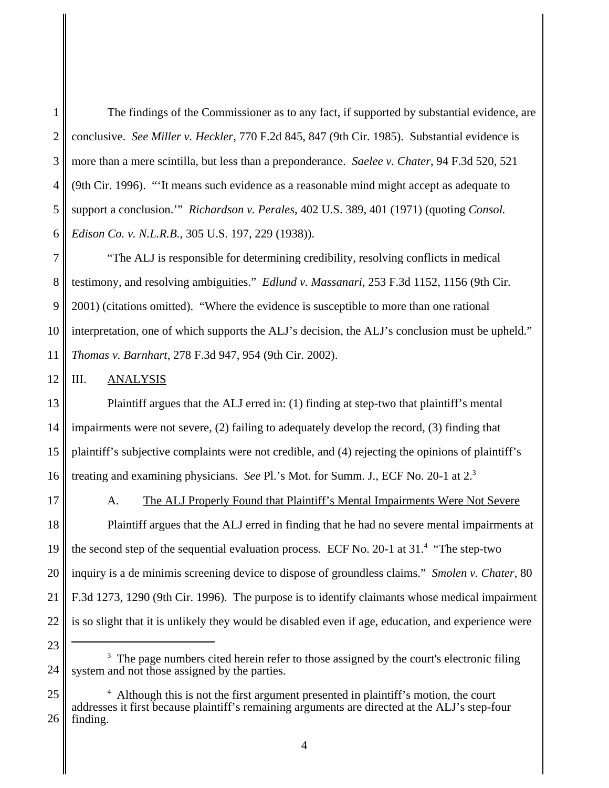1 2 3 4 5 6 The findings of the Commissioner as to any fact, if supported by substantial evidence, are conclusive. *See Miller v. Heckler*, 770 F.2d 845, 847 (9th Cir. 1985). Substantial evidence is more than a mere scintilla, but less than a preponderance. *Saelee v. Chater*, 94 F.3d 520, 521 (9th Cir. 1996). "'It means such evidence as a reasonable mind might accept as adequate to support a conclusion.'" *Richardson v. Perales*, 402 U.S. 389, 401 (1971) (quoting *Consol. Edison Co. v. N.L.R.B.*, 305 U.S. 197, 229 (1938)).

7 8 9 10 11 "The ALJ is responsible for determining credibility, resolving conflicts in medical testimony, and resolving ambiguities." *Edlund v. Massanari*, 253 F.3d 1152, 1156 (9th Cir. 2001) (citations omitted). "Where the evidence is susceptible to more than one rational interpretation, one of which supports the ALJ's decision, the ALJ's conclusion must be upheld." *Thomas v. Barnhart*, 278 F.3d 947, 954 (9th Cir. 2002).

12 III. ANALYSIS

13 14 15 16 Plaintiff argues that the ALJ erred in: (1) finding at step-two that plaintiff's mental impairments were not severe, (2) failing to adequately develop the record, (3) finding that plaintiff's subjective complaints were not credible, and (4) rejecting the opinions of plaintiff's treating and examining physicians. *See* Pl.'s Mot. for Summ. J., ECF No. 20-1 at 2.<sup>3</sup>

17

23

A. The ALJ Properly Found that Plaintiff's Mental Impairments Were Not Severe

18 19 20 21 22 Plaintiff argues that the ALJ erred in finding that he had no severe mental impairments at the second step of the sequential evaluation process. ECF No. 20-1 at 31.<sup>4</sup> "The step-two inquiry is a de minimis screening device to dispose of groundless claims." *Smolen v. Chater*, 80 F.3d 1273, 1290 (9th Cir. 1996). The purpose is to identify claimants whose medical impairment is so slight that it is unlikely they would be disabled even if age, education, and experience were

<sup>24</sup> <sup>3</sup> The page numbers cited herein refer to those assigned by the court's electronic filing system and not those assigned by the parties.

<sup>25</sup> 26 <sup>4</sup> Although this is not the first argument presented in plaintiff's motion, the court addresses it first because plaintiff's remaining arguments are directed at the ALJ's step-four finding.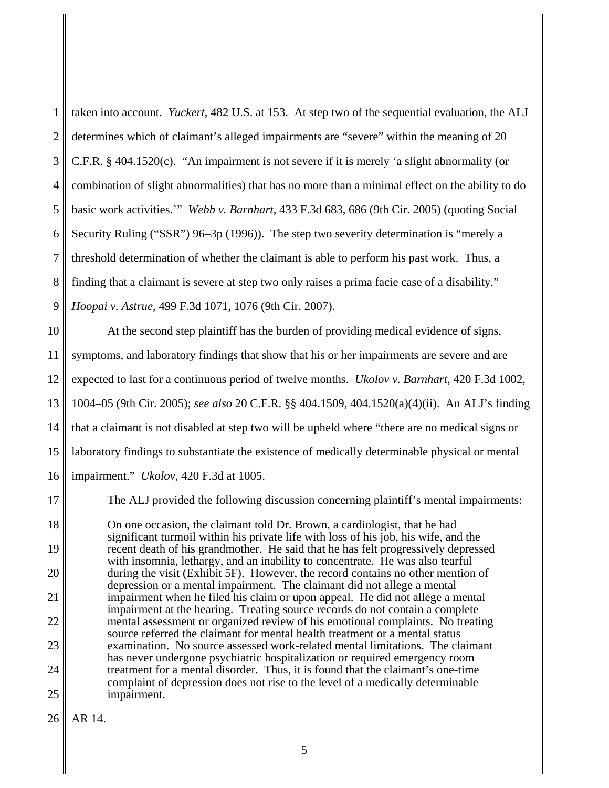|   | 1   taken into account. <i>Yuckert</i> , 482 U.S. at 153. At step two of the sequential evaluation, the ALJ    |
|---|----------------------------------------------------------------------------------------------------------------|
| 2 | determines which of claimant's alleged impairments are "severe" within the meaning of 20                       |
| 3 | C.F.R. § 404.1520(c). "An impairment is not severe if it is merely 'a slight abnormality (or                   |
|   | $4 \parallel$ combination of slight abnormalities) that has no more than a minimal effect on the ability to do |
| 5 | basic work activities." Webb v. Barnhart, 433 F.3d 683, 686 (9th Cir. 2005) (quoting Social                    |
| 6 | Security Ruling ("SSR") 96-3p (1996)). The step two severity determination is "merely a                        |
|   | threshold determination of whether the claimant is able to perform his past work. Thus, a                      |
| 8 | finding that a claimant is severe at step two only raises a prima facie case of a disability."                 |
| 9 | Hoopai v. Astrue, 499 F.3d 1071, 1076 (9th Cir. 2007).                                                         |

10 11 12 13 14 15 16 At the second step plaintiff has the burden of providing medical evidence of signs, symptoms, and laboratory findings that show that his or her impairments are severe and are expected to last for a continuous period of twelve months. *Ukolov v. Barnhart*, 420 F.3d 1002, 1004–05 (9th Cir. 2005); *see also* 20 C.F.R. §§ 404.1509, 404.1520(a)(4)(ii). An ALJ's finding that a claimant is not disabled at step two will be upheld where "there are no medical signs or laboratory findings to substantiate the existence of medically determinable physical or mental impairment." *Ukolov*, 420 F.3d at 1005.

17 18 19 20 21 22 23 24 25 The ALJ provided the following discussion concerning plaintiff's mental impairments: On one occasion, the claimant told Dr. Brown, a cardiologist, that he had significant turmoil within his private life with loss of his job, his wife, and the recent death of his grandmother. He said that he has felt progressively depressed with insomnia, lethargy, and an inability to concentrate. He was also tearful during the visit (Exhibit 5F). However, the record contains no other mention of depression or a mental impairment. The claimant did not allege a mental impairment when he filed his claim or upon appeal. He did not allege a mental impairment at the hearing. Treating source records do not contain a complete mental assessment or organized review of his emotional complaints. No treating source referred the claimant for mental health treatment or a mental status examination. No source assessed work-related mental limitations. The claimant has never undergone psychiatric hospitalization or required emergency room treatment for a mental disorder. Thus, it is found that the claimant's one-time complaint of depression does not rise to the level of a medically determinable impairment.

26 AR 14.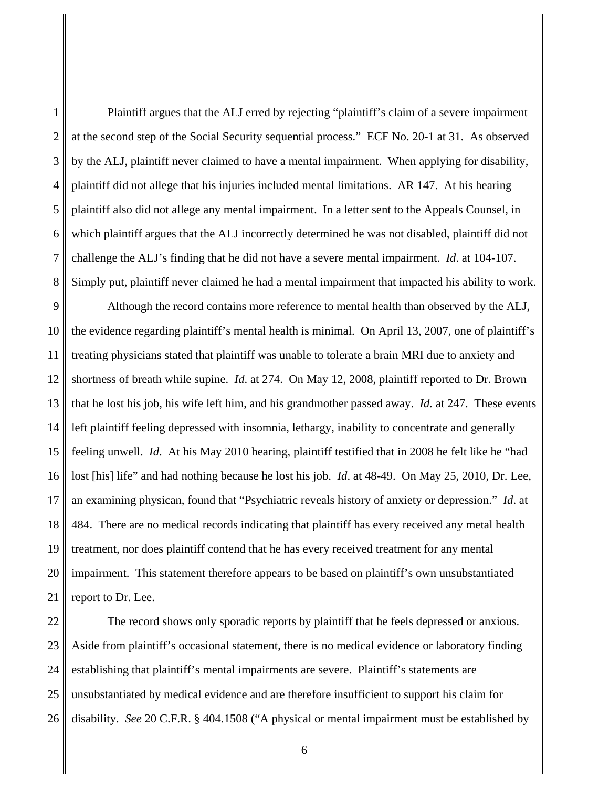2 3 4 5 6 7 8 9 10 11 12 13 at the second step of the Social Security sequential process." ECF No. 20-1 at 31. As observed by the ALJ, plaintiff never claimed to have a mental impairment. When applying for disability, plaintiff did not allege that his injuries included mental limitations. AR 147. At his hearing plaintiff also did not allege any mental impairment. In a letter sent to the Appeals Counsel, in which plaintiff argues that the ALJ incorrectly determined he was not disabled, plaintiff did not challenge the ALJ's finding that he did not have a severe mental impairment. *Id*. at 104-107. Simply put, plaintiff never claimed he had a mental impairment that impacted his ability to work. Although the record contains more reference to mental health than observed by the ALJ, the evidence regarding plaintiff's mental health is minimal. On April 13, 2007, one of plaintiff's treating physicians stated that plaintiff was unable to tolerate a brain MRI due to anxiety and shortness of breath while supine. *Id*. at 274. On May 12, 2008, plaintiff reported to Dr. Brown that he lost his job, his wife left him, and his grandmother passed away. *Id.* at 247. These events

14 15 16 17 18 19 20 21 left plaintiff feeling depressed with insomnia, lethargy, inability to concentrate and generally feeling unwell. *Id*. At his May 2010 hearing, plaintiff testified that in 2008 he felt like he "had lost [his] life" and had nothing because he lost his job. *Id*. at 48-49. On May 25, 2010, Dr. Lee, an examining physican, found that "Psychiatric reveals history of anxiety or depression." *Id*. at 484. There are no medical records indicating that plaintiff has every received any metal health treatment, nor does plaintiff contend that he has every received treatment for any mental impairment. This statement therefore appears to be based on plaintiff's own unsubstantiated report to Dr. Lee.

Plaintiff argues that the ALJ erred by rejecting "plaintiff's claim of a severe impairment

22 23 24 25 26 The record shows only sporadic reports by plaintiff that he feels depressed or anxious. Aside from plaintiff's occasional statement, there is no medical evidence or laboratory finding establishing that plaintiff's mental impairments are severe. Plaintiff's statements are unsubstantiated by medical evidence and are therefore insufficient to support his claim for disability. *See* 20 C.F.R. § 404.1508 ("A physical or mental impairment must be established by

1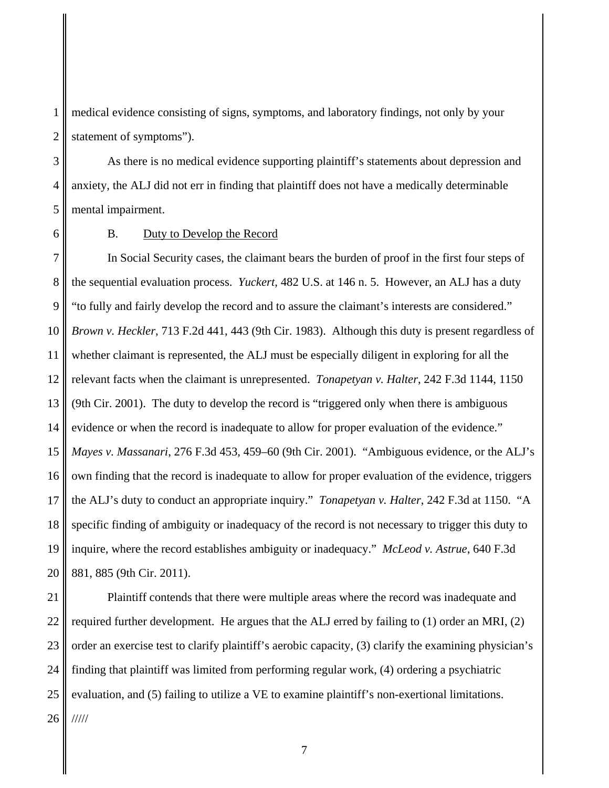1 2 medical evidence consisting of signs, symptoms, and laboratory findings, not only by your statement of symptoms").

3 4 5 As there is no medical evidence supporting plaintiff's statements about depression and anxiety, the ALJ did not err in finding that plaintiff does not have a medically determinable mental impairment.

6

### B. Duty to Develop the Record

7 8 9 10 11 12 13 14 15 16 17 18 19 20 In Social Security cases, the claimant bears the burden of proof in the first four steps of the sequential evaluation process. *Yuckert*, 482 U.S. at 146 n. 5. However, an ALJ has a duty "to fully and fairly develop the record and to assure the claimant's interests are considered." *Brown v. Heckler*, 713 F.2d 441, 443 (9th Cir. 1983). Although this duty is present regardless of whether claimant is represented, the ALJ must be especially diligent in exploring for all the relevant facts when the claimant is unrepresented. *Tonapetyan v. Halter*, 242 F.3d 1144, 1150 (9th Cir. 2001). The duty to develop the record is "triggered only when there is ambiguous evidence or when the record is inadequate to allow for proper evaluation of the evidence." *Mayes v. Massanari*, 276 F.3d 453, 459–60 (9th Cir. 2001). "Ambiguous evidence, or the ALJ's own finding that the record is inadequate to allow for proper evaluation of the evidence, triggers the ALJ's duty to conduct an appropriate inquiry." *Tonapetyan v. Halter*, 242 F.3d at 1150. "A specific finding of ambiguity or inadequacy of the record is not necessary to trigger this duty to inquire, where the record establishes ambiguity or inadequacy." *McLeod v. Astrue*, 640 F.3d 881, 885 (9th Cir. 2011).

21 22 23 24 25 26 Plaintiff contends that there were multiple areas where the record was inadequate and required further development. He argues that the ALJ erred by failing to (1) order an MRI, (2) order an exercise test to clarify plaintiff's aerobic capacity, (3) clarify the examining physician's finding that plaintiff was limited from performing regular work, (4) ordering a psychiatric evaluation, and (5) failing to utilize a VE to examine plaintiff's non-exertional limitations. /////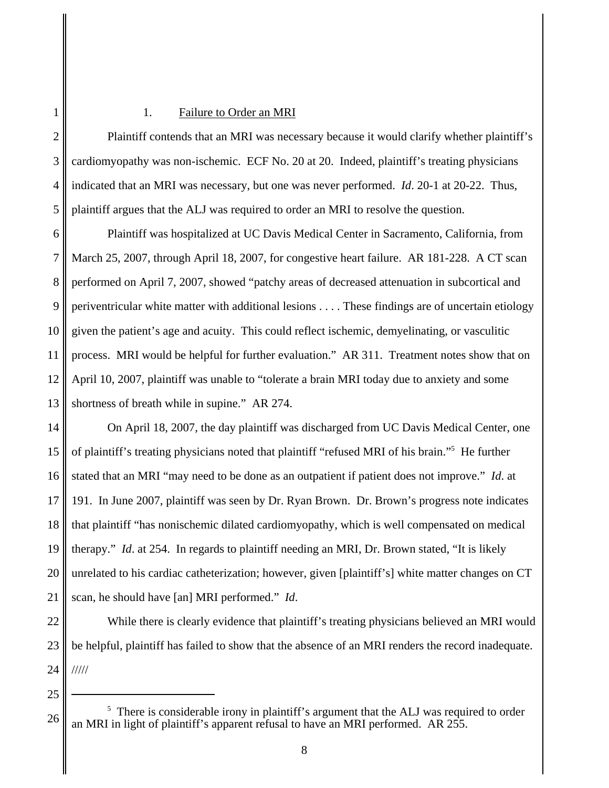## 1. Failure to Order an MRI

Plaintiff contends that an MRI was necessary because it would clarify whether plaintiff's cardiomyopathy was non-ischemic. ECF No. 20 at 20. Indeed, plaintiff's treating physicians indicated that an MRI was necessary, but one was never performed. *Id*. 20-1 at 20-22. Thus, plaintiff argues that the ALJ was required to order an MRI to resolve the question.

6 7 8 9 10 11 12 13 Plaintiff was hospitalized at UC Davis Medical Center in Sacramento, California, from March 25, 2007, through April 18, 2007, for congestive heart failure. AR 181-228. A CT scan performed on April 7, 2007, showed "patchy areas of decreased attenuation in subcortical and periventricular white matter with additional lesions . . . . These findings are of uncertain etiology given the patient's age and acuity. This could reflect ischemic, demyelinating, or vasculitic process. MRI would be helpful for further evaluation." AR 311. Treatment notes show that on April 10, 2007, plaintiff was unable to "tolerate a brain MRI today due to anxiety and some shortness of breath while in supine." AR 274.

14 15 16 17 18 19 20 21 On April 18, 2007, the day plaintiff was discharged from UC Davis Medical Center, one of plaintiff's treating physicians noted that plaintiff "refused MRI of his brain."<sup>5</sup> He further stated that an MRI "may need to be done as an outpatient if patient does not improve." *Id*. at 191. In June 2007, plaintiff was seen by Dr. Ryan Brown. Dr. Brown's progress note indicates that plaintiff "has nonischemic dilated cardiomyopathy, which is well compensated on medical therapy." *Id*. at 254. In regards to plaintiff needing an MRI, Dr. Brown stated, "It is likely unrelated to his cardiac catheterization; however, given [plaintiff's] white matter changes on CT scan, he should have [an] MRI performed." *Id*.

22 23 24 While there is clearly evidence that plaintiff's treating physicians believed an MRI would be helpful, plaintiff has failed to show that the absence of an MRI renders the record inadequate. /////

25

1

2

3

4

<sup>26</sup> <sup>5</sup> There is considerable irony in plaintiff's argument that the ALJ was required to order an MRI in light of plaintiff's apparent refusal to have an MRI performed. AR 255.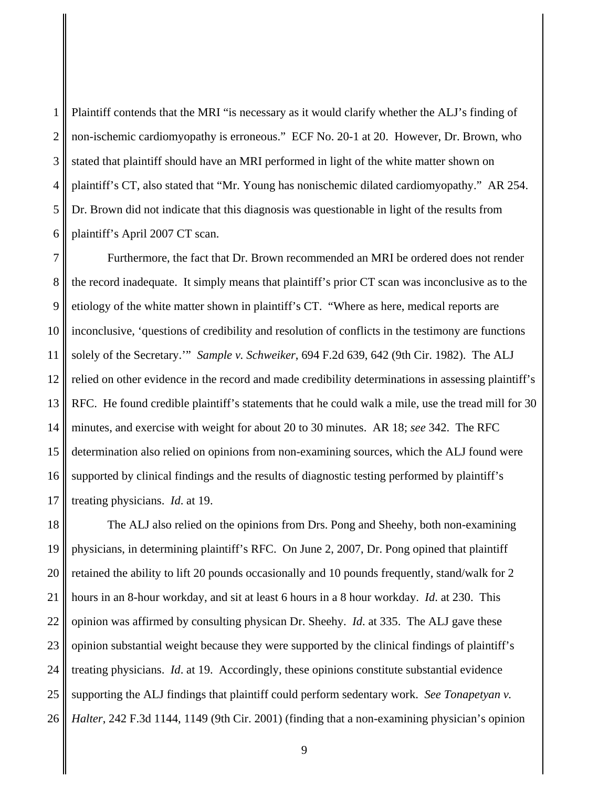1 2 3 4 5 6 Plaintiff contends that the MRI "is necessary as it would clarify whether the ALJ's finding of non-ischemic cardiomyopathy is erroneous." ECF No. 20-1 at 20. However, Dr. Brown, who stated that plaintiff should have an MRI performed in light of the white matter shown on plaintiff's CT, also stated that "Mr. Young has nonischemic dilated cardiomyopathy." AR 254. Dr. Brown did not indicate that this diagnosis was questionable in light of the results from plaintiff's April 2007 CT scan.

7 8 9 10 11 12 13 14 15 16 17 Furthermore, the fact that Dr. Brown recommended an MRI be ordered does not render the record inadequate. It simply means that plaintiff's prior CT scan was inconclusive as to the etiology of the white matter shown in plaintiff's CT. "Where as here, medical reports are inconclusive, 'questions of credibility and resolution of conflicts in the testimony are functions solely of the Secretary.'" *Sample v. Schweiker*, 694 F.2d 639, 642 (9th Cir. 1982). The ALJ relied on other evidence in the record and made credibility determinations in assessing plaintiff's RFC. He found credible plaintiff's statements that he could walk a mile, use the tread mill for 30 minutes, and exercise with weight for about 20 to 30 minutes. AR 18; *see* 342. The RFC determination also relied on opinions from non-examining sources, which the ALJ found were supported by clinical findings and the results of diagnostic testing performed by plaintiff's treating physicians. *Id*. at 19.

18 19 20 21 22 23 24 25 26 The ALJ also relied on the opinions from Drs. Pong and Sheehy, both non-examining physicians, in determining plaintiff's RFC. On June 2, 2007, Dr. Pong opined that plaintiff retained the ability to lift 20 pounds occasionally and 10 pounds frequently, stand/walk for 2 hours in an 8-hour workday, and sit at least 6 hours in a 8 hour workday. *Id*. at 230. This opinion was affirmed by consulting physican Dr. Sheehy. *Id*. at 335. The ALJ gave these opinion substantial weight because they were supported by the clinical findings of plaintiff's treating physicians. *Id*. at 19. Accordingly, these opinions constitute substantial evidence supporting the ALJ findings that plaintiff could perform sedentary work. *See Tonapetyan v. Halter*, 242 F.3d 1144, 1149 (9th Cir. 2001) (finding that a non-examining physician's opinion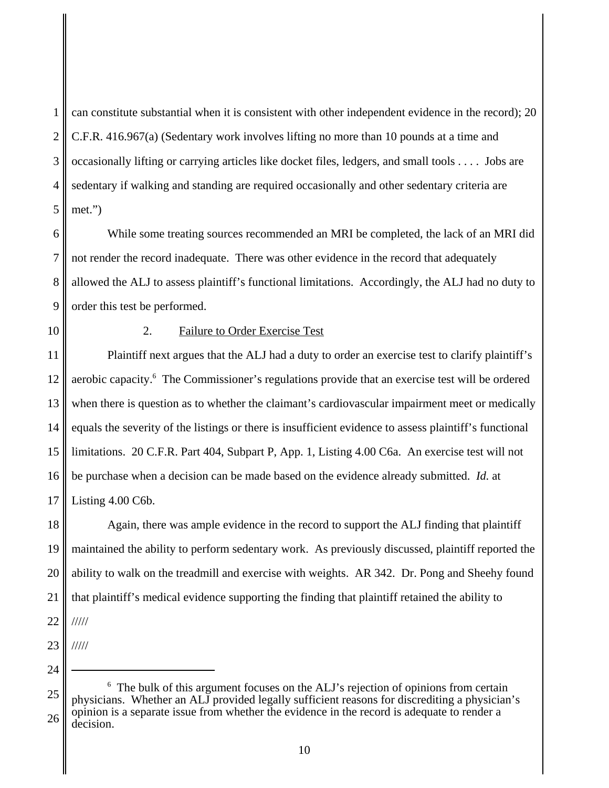1 2 3 4 5 can constitute substantial when it is consistent with other independent evidence in the record); 20 C.F.R. 416.967(a) (Sedentary work involves lifting no more than 10 pounds at a time and occasionally lifting or carrying articles like docket files, ledgers, and small tools . . . . Jobs are sedentary if walking and standing are required occasionally and other sedentary criteria are met.")

6 7 8 9 While some treating sources recommended an MRI be completed, the lack of an MRI did not render the record inadequate. There was other evidence in the record that adequately allowed the ALJ to assess plaintiff's functional limitations. Accordingly, the ALJ had no duty to order this test be performed.

10

## 2. Failure to Order Exercise Test

11 12 13 14 15 16 17 Plaintiff next argues that the ALJ had a duty to order an exercise test to clarify plaintiff's aerobic capacity.<sup>6</sup> The Commissioner's regulations provide that an exercise test will be ordered when there is question as to whether the claimant's cardiovascular impairment meet or medically equals the severity of the listings or there is insufficient evidence to assess plaintiff's functional limitations. 20 C.F.R. Part 404, Subpart P, App. 1, Listing 4.00 C6a. An exercise test will not be purchase when a decision can be made based on the evidence already submitted. *Id.* at Listing 4.00 C6b.

18 19 20 21 22 Again, there was ample evidence in the record to support the ALJ finding that plaintiff maintained the ability to perform sedentary work. As previously discussed, plaintiff reported the ability to walk on the treadmill and exercise with weights. AR 342. Dr. Pong and Sheehy found that plaintiff's medical evidence supporting the finding that plaintiff retained the ability to /////

23 /////

<sup>25</sup> 26 <sup>6</sup> The bulk of this argument focuses on the ALJ's rejection of opinions from certain physicians. Whether an ALJ provided legally sufficient reasons for discrediting a physician's opinion is a separate issue from whether the evidence in the record is adequate to render a decision.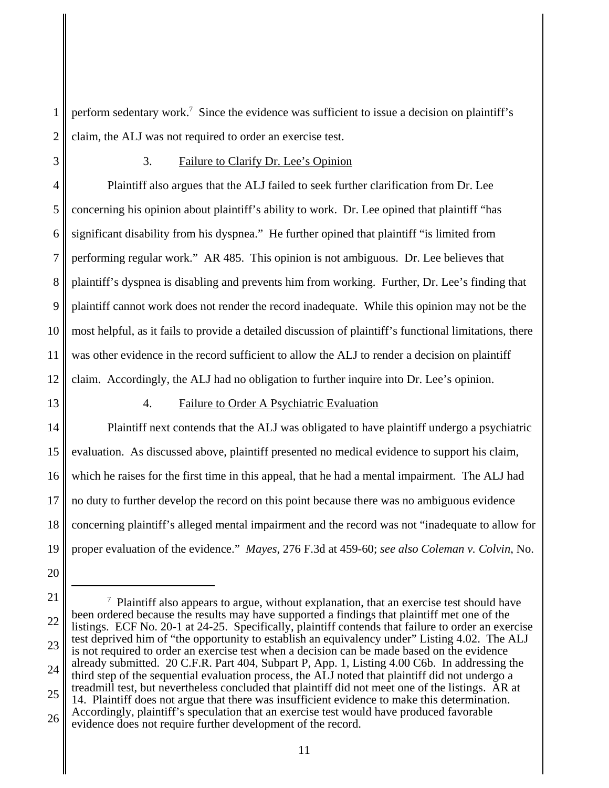1 2 perform sedentary work.<sup>7</sup> Since the evidence was sufficient to issue a decision on plaintiff's claim, the ALJ was not required to order an exercise test.

3

# 3. Failure to Clarify Dr. Lee's Opinion

4 5 6 7 8 9 10 11 12 Plaintiff also argues that the ALJ failed to seek further clarification from Dr. Lee concerning his opinion about plaintiff's ability to work. Dr. Lee opined that plaintiff "has significant disability from his dyspnea." He further opined that plaintiff "is limited from performing regular work." AR 485. This opinion is not ambiguous. Dr. Lee believes that plaintiff's dyspnea is disabling and prevents him from working. Further, Dr. Lee's finding that plaintiff cannot work does not render the record inadequate. While this opinion may not be the most helpful, as it fails to provide a detailed discussion of plaintiff's functional limitations, there was other evidence in the record sufficient to allow the ALJ to render a decision on plaintiff claim. Accordingly, the ALJ had no obligation to further inquire into Dr. Lee's opinion.

13

## 4. Failure to Order A Psychiatric Evaluation

14 15 16 17 18 19 Plaintiff next contends that the ALJ was obligated to have plaintiff undergo a psychiatric evaluation. As discussed above, plaintiff presented no medical evidence to support his claim, which he raises for the first time in this appeal, that he had a mental impairment. The ALJ had no duty to further develop the record on this point because there was no ambiguous evidence concerning plaintiff's alleged mental impairment and the record was not "inadequate to allow for proper evaluation of the evidence." *Mayes*, 276 F.3d at 459-60; *see also Coleman v. Colvin*, No.

- 20
- 21

26 Accordingly, plaintiff's speculation that an exercise test would have produced favorable evidence does not require further development of the record.

<sup>22</sup> 23 24 25  $\alpha$  Plaintiff also appears to argue, without explanation, that an exercise test should have been ordered because the results may have supported a findings that plaintiff met one of the listings. ECF No. 20-1 at 24-25. Specifically, plaintiff contends that failure to order an exercise test deprived him of "the opportunity to establish an equivalency under" Listing 4.02. The ALJ is not required to order an exercise test when a decision can be made based on the evidence already submitted. 20 C.F.R. Part 404, Subpart P, App. 1, Listing 4.00 C6b. In addressing the third step of the sequential evaluation process, the ALJ noted that plaintiff did not undergo a treadmill test, but nevertheless concluded that plaintiff did not meet one of the listings. AR at 14. Plaintiff does not argue that there was insufficient evidence to make this determination.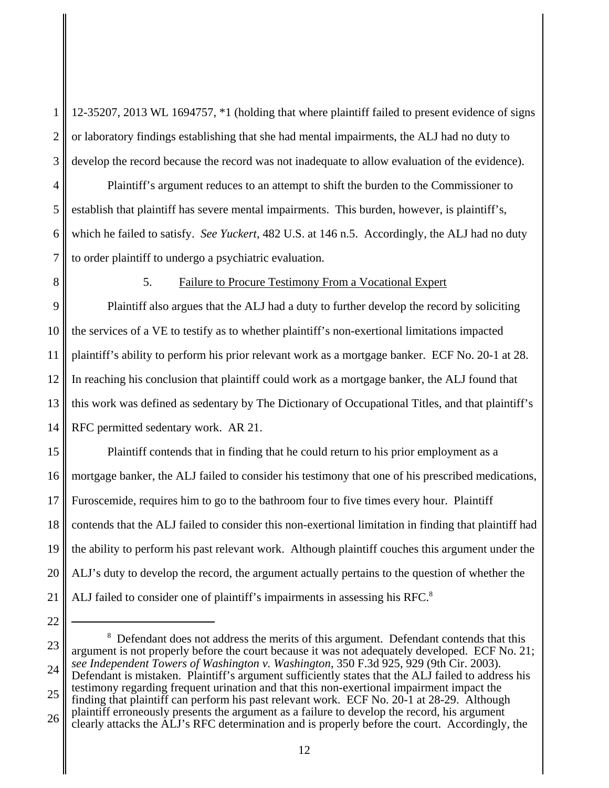1 2 3 12-35207, 2013 WL 1694757, \*1 (holding that where plaintiff failed to present evidence of signs or laboratory findings establishing that she had mental impairments, the ALJ had no duty to develop the record because the record was not inadequate to allow evaluation of the evidence).

Plaintiff's argument reduces to an attempt to shift the burden to the Commissioner to establish that plaintiff has severe mental impairments. This burden, however, is plaintiff's, which he failed to satisfy. *See Yuckert,* 482 U.S. at 146 n.5. Accordingly, the ALJ had no duty to order plaintiff to undergo a psychiatric evaluation.

8

22

4

5

6

7

## 5. Failure to Procure Testimony From a Vocational Expert

9 10 11 12 13 14 Plaintiff also argues that the ALJ had a duty to further develop the record by soliciting the services of a VE to testify as to whether plaintiff's non-exertional limitations impacted plaintiff's ability to perform his prior relevant work as a mortgage banker. ECF No. 20-1 at 28. In reaching his conclusion that plaintiff could work as a mortgage banker, the ALJ found that this work was defined as sedentary by The Dictionary of Occupational Titles, and that plaintiff's RFC permitted sedentary work. AR 21.

15 16 17 18 19 20 21 Plaintiff contends that in finding that he could return to his prior employment as a mortgage banker, the ALJ failed to consider his testimony that one of his prescribed medications, Furoscemide, requires him to go to the bathroom four to five times every hour. Plaintiff contends that the ALJ failed to consider this non-exertional limitation in finding that plaintiff had the ability to perform his past relevant work. Although plaintiff couches this argument under the ALJ's duty to develop the record, the argument actually pertains to the question of whether the ALJ failed to consider one of plaintiff's impairments in assessing his RFC.<sup>8</sup>

<sup>23</sup> 24 25 <sup>8</sup> Defendant does not address the merits of this argument. Defendant contends that this argument is not properly before the court because it was not adequately developed. ECF No. 21; *see Independent Towers of Washington v. Washington*, 350 F.3d 925, 929 (9th Cir. 2003). Defendant is mistaken. Plaintiff's argument sufficiently states that the ALJ failed to address his testimony regarding frequent urination and that this non-exertional impairment impact the finding that plaintiff can perform his past relevant work. ECF No. 20-1 at 28-29. Although

<sup>26</sup> plaintiff erroneously presents the argument as a failure to develop the record, his argument clearly attacks the ALJ's RFC determination and is properly before the court. Accordingly, the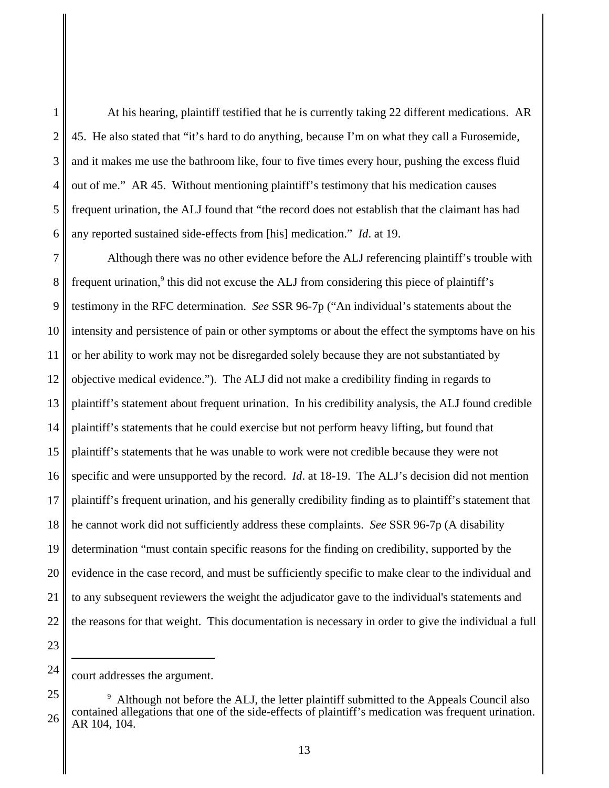2 3 5 6 At his hearing, plaintiff testified that he is currently taking 22 different medications. AR 45. He also stated that "it's hard to do anything, because I'm on what they call a Furosemide, and it makes me use the bathroom like, four to five times every hour, pushing the excess fluid out of me." AR 45. Without mentioning plaintiff's testimony that his medication causes frequent urination, the ALJ found that "the record does not establish that the claimant has had any reported sustained side-effects from [his] medication." *Id*. at 19.

7 8 9 10 11 12 13 14 15 16 17 18 19 20 21 22 Although there was no other evidence before the ALJ referencing plaintiff's trouble with frequent urination,<sup>9</sup> this did not excuse the ALJ from considering this piece of plaintiff's testimony in the RFC determination. *See* SSR 96-7p ("An individual's statements about the intensity and persistence of pain or other symptoms or about the effect the symptoms have on his or her ability to work may not be disregarded solely because they are not substantiated by objective medical evidence."). The ALJ did not make a credibility finding in regards to plaintiff's statement about frequent urination. In his credibility analysis, the ALJ found credible plaintiff's statements that he could exercise but not perform heavy lifting, but found that plaintiff's statements that he was unable to work were not credible because they were not specific and were unsupported by the record. *Id*. at 18-19. The ALJ's decision did not mention plaintiff's frequent urination, and his generally credibility finding as to plaintiff's statement that he cannot work did not sufficiently address these complaints. *See* SSR 96-7p (A disability determination "must contain specific reasons for the finding on credibility, supported by the evidence in the case record, and must be sufficiently specific to make clear to the individual and to any subsequent reviewers the weight the adjudicator gave to the individual's statements and the reasons for that weight. This documentation is necessary in order to give the individual a full

23

24

1

court addresses the argument.

<sup>25</sup> 26 <sup>9</sup> Although not before the ALJ, the letter plaintiff submitted to the Appeals Council also contained allegations that one of the side-effects of plaintiff's medication was frequent urination. AR 104, 104.